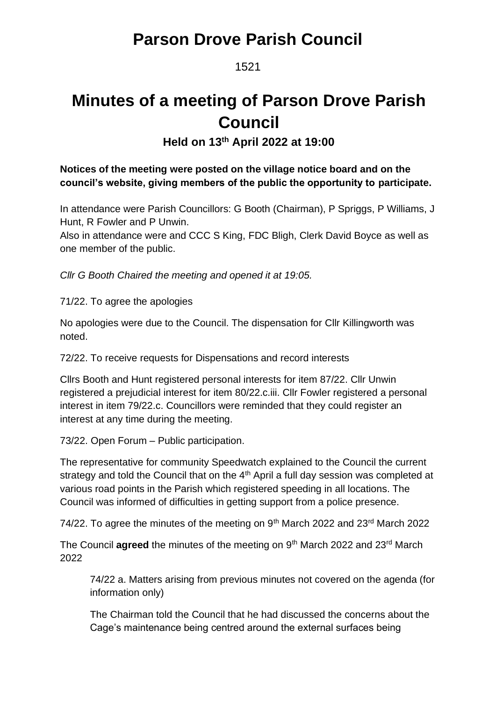1521

# **Minutes of a meeting of Parson Drove Parish Council**

**Held on 13th April 2022 at 19:00**

### **Notices of the meeting were posted on the village notice board and on the council's website, giving members of the public the opportunity to participate.**

In attendance were Parish Councillors: G Booth (Chairman), P Spriggs, P Williams, J Hunt, R Fowler and P Unwin.

Also in attendance were and CCC S King, FDC Bligh, Clerk David Boyce as well as one member of the public.

*Cllr G Booth Chaired the meeting and opened it at 19:05.*

71/22. To agree the apologies

No apologies were due to the Council. The dispensation for Cllr Killingworth was noted.

72/22. To receive requests for Dispensations and record interests

Cllrs Booth and Hunt registered personal interests for item 87/22. Cllr Unwin registered a prejudicial interest for item 80/22.c.iii. Cllr Fowler registered a personal interest in item 79/22.c. Councillors were reminded that they could register an interest at any time during the meeting.

73/22. Open Forum – Public participation.

The representative for community Speedwatch explained to the Council the current strategy and told the Council that on the  $4<sup>th</sup>$  April a full day session was completed at various road points in the Parish which registered speeding in all locations. The Council was informed of difficulties in getting support from a police presence.

74/22. To agree the minutes of the meeting on  $9<sup>th</sup>$  March 2022 and 23<sup>rd</sup> March 2022

The Council **agreed** the minutes of the meeting on 9<sup>th</sup> March 2022 and 23<sup>rd</sup> March 2022

74/22 a. Matters arising from previous minutes not covered on the agenda (for information only)

The Chairman told the Council that he had discussed the concerns about the Cage's maintenance being centred around the external surfaces being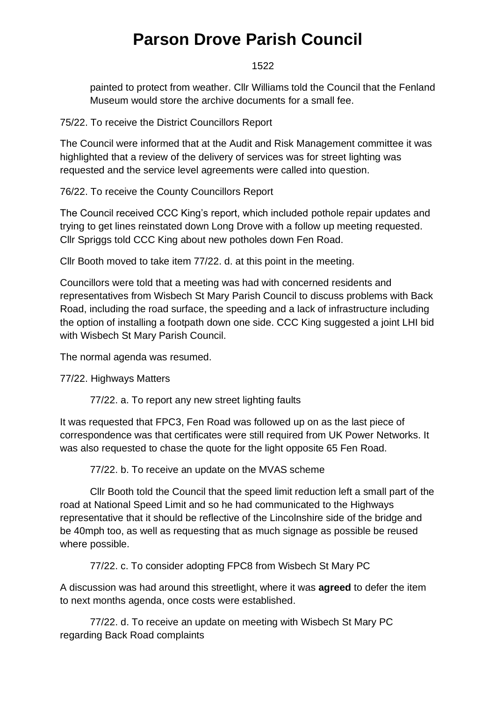### 1522

painted to protect from weather. Cllr Williams told the Council that the Fenland Museum would store the archive documents for a small fee.

75/22. To receive the District Councillors Report

The Council were informed that at the Audit and Risk Management committee it was highlighted that a review of the delivery of services was for street lighting was requested and the service level agreements were called into question.

### 76/22. To receive the County Councillors Report

The Council received CCC King's report, which included pothole repair updates and trying to get lines reinstated down Long Drove with a follow up meeting requested. Cllr Spriggs told CCC King about new potholes down Fen Road.

Cllr Booth moved to take item 77/22. d. at this point in the meeting.

Councillors were told that a meeting was had with concerned residents and representatives from Wisbech St Mary Parish Council to discuss problems with Back Road, including the road surface, the speeding and a lack of infrastructure including the option of installing a footpath down one side. CCC King suggested a joint LHI bid with Wisbech St Mary Parish Council.

The normal agenda was resumed.

77/22. Highways Matters

77/22. a. To report any new street lighting faults

It was requested that FPC3, Fen Road was followed up on as the last piece of correspondence was that certificates were still required from UK Power Networks. It was also requested to chase the quote for the light opposite 65 Fen Road.

77/22. b. To receive an update on the MVAS scheme

Cllr Booth told the Council that the speed limit reduction left a small part of the road at National Speed Limit and so he had communicated to the Highways representative that it should be reflective of the Lincolnshire side of the bridge and be 40mph too, as well as requesting that as much signage as possible be reused where possible.

77/22. c. To consider adopting FPC8 from Wisbech St Mary PC

A discussion was had around this streetlight, where it was **agreed** to defer the item to next months agenda, once costs were established.

77/22. d. To receive an update on meeting with Wisbech St Mary PC regarding Back Road complaints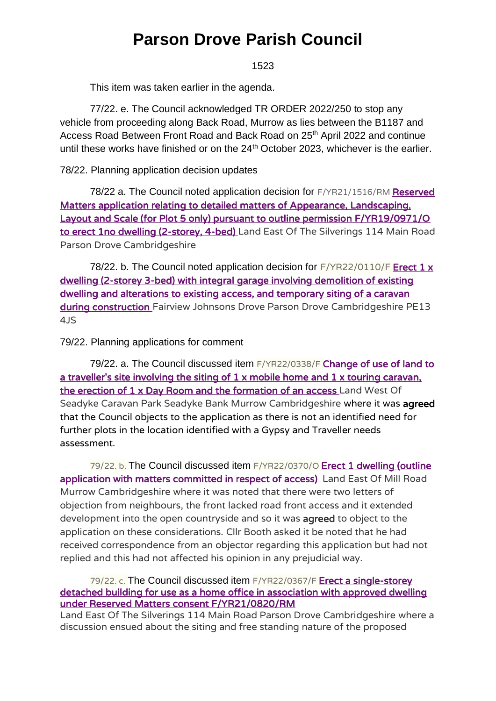1523

This item was taken earlier in the agenda.

77/22. e. The Council acknowledged TR ORDER 2022/250 to stop any vehicle from proceeding along Back Road, Murrow as lies between the B1187 and Access Road Between Front Road and Back Road on 25<sup>th</sup> April 2022 and continue until these works have finished or on the  $24<sup>th</sup>$  October 2023, whichever is the earlier.

78/22. Planning application decision updates

78/22 a. The Council noted application decision for F/YR21/1516/RM Reserved [Matters application relating to detailed matters of Appearance, Landscaping,](https://www.publicaccess.fenland.gov.uk/publicaccess/applicationDetails.do?keyVal=R4GMD3HE0D800&activeTab=summary)  [Layout and Scale \(for Plot 5 only\) pursuant to outline permission F/YR19/0971/O](https://www.publicaccess.fenland.gov.uk/publicaccess/applicationDetails.do?keyVal=R4GMD3HE0D800&activeTab=summary)  [to erect 1no dwelling \(2-storey, 4-bed\)](https://www.publicaccess.fenland.gov.uk/publicaccess/applicationDetails.do?keyVal=R4GMD3HE0D800&activeTab=summary) Land East Of The Silverings 114 Main Road Parson Drove Cambridgeshire

78/22. b. The Council noted application decision for  $F/YR22/0110/F$  Erect 1 x [dwelling \(2-storey 3-bed\) with integral garage involving demolition of existing](https://www.publicaccess.fenland.gov.uk/publicaccess/applicationDetails.do?keyVal=R6FDKPHE03000&activeTab=summary)  [dwelling and alterations to existing access, and temporary siting of a caravan](https://www.publicaccess.fenland.gov.uk/publicaccess/applicationDetails.do?keyVal=R6FDKPHE03000&activeTab=summary)  [during construction](https://www.publicaccess.fenland.gov.uk/publicaccess/applicationDetails.do?keyVal=R6FDKPHE03000&activeTab=summary) Fairview Johnsons Drove Parson Drove Cambridgeshire PE13 4JS

79/22. Planning applications for comment

79/22. a. The Council discussed item F/YR22/0338/F Change of use of land to a traveller's site involving the siting of 1 x mobile home and 1 x touring caravan, [the erection of 1 x Day Room and the formation of an access](https://www.publicaccess.fenland.gov.uk/publicaccess/applicationDetails.do?keyVal=R8SFLCHE06P00&activeTab=summary) Land West Of Seadyke Caravan Park Seadyke Bank Murrow Cambridgeshire where it was agreed that the Council objects to the application as there is not an identified need for further plots in the location identified with a Gypsy and Traveller needs assessment.

79/22. b. The Council discussed item F/YR22/0370/O **Erect 1 dwelling (outline** [application with matters committed in respect of access\)](https://www.publicaccess.fenland.gov.uk/publicaccess/applicationDetails.do?keyVal=R8QUT4HE01U00&activeTab=summary) Land East Of Mill Road Murrow Cambridgeshire where it was noted that there were two letters of objection from neighbours, the front lacked road front access and it extended development into the open countryside and so it was agreed to object to the application on these considerations. Cllr Booth asked it be noted that he had received correspondence from an objector regarding this application but had not replied and this had not affected his opinion in any prejudicial way.

### 79/22. c. The Council discussed item F/YR22/0367/F Erect a single-storey [detached building for use as a home office in association with approved dwelling](https://www.publicaccess.fenland.gov.uk/publicaccess/applicationDetails.do?keyVal=R9D505HE0I900&activeTab=summary)  [under Reserved Matters consent F/YR21/0820/RM](https://www.publicaccess.fenland.gov.uk/publicaccess/applicationDetails.do?keyVal=R9D505HE0I900&activeTab=summary)

Land East Of The Silverings 114 Main Road Parson Drove Cambridgeshire where a discussion ensued about the siting and free standing nature of the proposed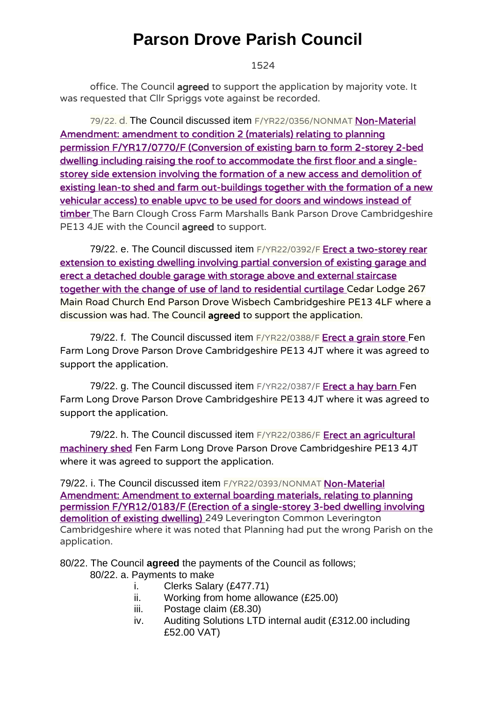1524

office. The Council agreed to support the application by majority vote. It was requested that Cllr Spriggs vote against be recorded.

79/22. d. The Council discussed item F/YR22/0356/NONMAT [Non-Material](https://www.publicaccess.fenland.gov.uk/publicaccess/applicationDetails.do?keyVal=R9I1SRHE0D800&activeTab=summary)  [Amendment: amendment to condition 2 \(materials\) relating to planning](https://www.publicaccess.fenland.gov.uk/publicaccess/applicationDetails.do?keyVal=R9I1SRHE0D800&activeTab=summary)  [permission F/YR17/0770/F \(Conversion of existing barn to form 2-storey 2-bed](https://www.publicaccess.fenland.gov.uk/publicaccess/applicationDetails.do?keyVal=R9I1SRHE0D800&activeTab=summary)  [dwelling including raising the roof to accommodate the first floor and a single](https://www.publicaccess.fenland.gov.uk/publicaccess/applicationDetails.do?keyVal=R9I1SRHE0D800&activeTab=summary)[storey side extension involving the formation of a new access and demolition of](https://www.publicaccess.fenland.gov.uk/publicaccess/applicationDetails.do?keyVal=R9I1SRHE0D800&activeTab=summary)  [existing lean-to shed and farm out-buildings together with the formation of a new](https://www.publicaccess.fenland.gov.uk/publicaccess/applicationDetails.do?keyVal=R9I1SRHE0D800&activeTab=summary)  vehicular access) to enable upvc to be used for doors and windows instead of [timber](https://www.publicaccess.fenland.gov.uk/publicaccess/applicationDetails.do?keyVal=R9I1SRHE0D800&activeTab=summary) The Barn Clough Cross Farm Marshalls Bank Parson Drove Cambridgeshire PE13 4JE with the Council agreed to support.

79/22. e. The Council discussed item F/YR22/0392/F Erect a two-storey rear [extension to existing dwelling involving partial conversion of existing garage and](https://www.publicaccess.fenland.gov.uk/publicaccess/applicationDetails.do?keyVal=R8UNDYHE0I900&activeTab=summary)  [erect a detached double garage with storage above and external staircase](https://www.publicaccess.fenland.gov.uk/publicaccess/applicationDetails.do?keyVal=R8UNDYHE0I900&activeTab=summary)  [together with the change of use of land to residential curtilage](https://www.publicaccess.fenland.gov.uk/publicaccess/applicationDetails.do?keyVal=R8UNDYHE0I900&activeTab=summary) Cedar Lodge 267 Main Road Church End Parson Drove Wisbech Cambridgeshire PE13 4LF where a discussion was had. The Council agreed to support the application.

79/22. f. The Council discussed item F/YR22/0388/F [Erect a grain store](https://www.publicaccess.fenland.gov.uk/publicaccess/applicationDetails.do?keyVal=R9LUL9HE06P00&activeTab=summary) Fen Farm Long Drove Parson Drove Cambridgeshire PE13 4JT where it was agreed to support the application.

79/22. g. The Council discussed item F/YR22/0387/F [Erect a hay barn](https://www.publicaccess.fenland.gov.uk/publicaccess/applicationDetails.do?keyVal=R9LUCMHE06P00&activeTab=summary) Fen Farm Long Drove Parson Drove Cambridgeshire PE13 4JT where it was agreed to support the application.

79/22. h. The Council discussed item F/YR22/0386/F Erect an agricultural [machinery shed](https://www.publicaccess.fenland.gov.uk/publicaccess/applicationDetails.do?keyVal=R9LSH4HE06P00&activeTab=summary) Fen Farm Long Drove Parson Drove Cambridgeshire PE13 4JT where it was agreed to support the application.

79/22. i. The Council discussed item F/YR22/0393/NONMAT Non-Material [Amendment: Amendment to external boarding materials, relating to planning](https://www.publicaccess.fenland.gov.uk/publicaccess/applicationDetails.do?keyVal=R9TUHZHE06P00&activeTab=summary)  [permission F/YR12/0183/F \(Erection of a single-storey 3-bed dwelling involving](https://www.publicaccess.fenland.gov.uk/publicaccess/applicationDetails.do?keyVal=R9TUHZHE06P00&activeTab=summary)  [demolition of existing dwelling\)](https://www.publicaccess.fenland.gov.uk/publicaccess/applicationDetails.do?keyVal=R9TUHZHE06P00&activeTab=summary) 249 Leverington Common Leverington Cambridgeshire where it was noted that Planning had put the wrong Parish on the application.

80/22. The Council **agreed** the payments of the Council as follows;

80/22. a. Payments to make

- i. Clerks Salary (£477.71)
- ii. Working from home allowance (£25.00)
- iii. Postage claim (£8.30)
- iv. Auditing Solutions LTD internal audit (£312.00 including £52.00 VAT)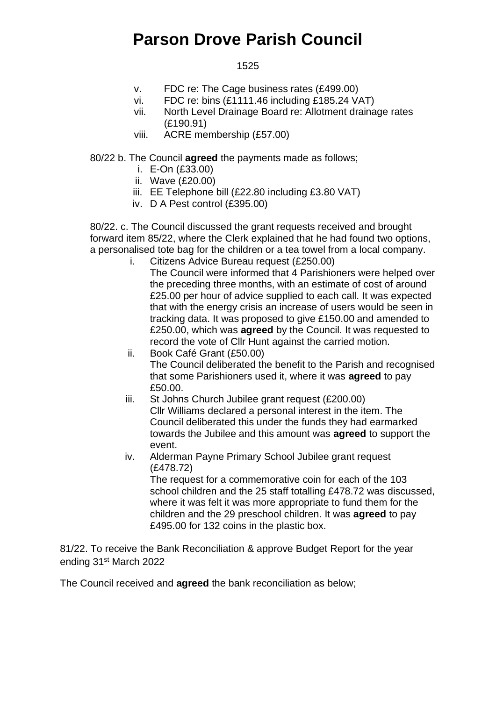### 1525

- v. FDC re: The Cage business rates (£499.00)
- vi. FDC re: bins (£1111.46 including £185.24 VAT)
- vii. North Level Drainage Board re: Allotment drainage rates (£190.91)
- viii. ACRE membership (£57.00)

80/22 b. The Council **agreed** the payments made as follows;

- i. E-On (£33.00)
- ii. Wave (£20.00)
- iii. EE Telephone bill (£22.80 including £3.80 VAT)
- iv. D A Pest control (£395.00)

80/22. c. The Council discussed the grant requests received and brought forward item 85/22, where the Clerk explained that he had found two options, a personalised tote bag for the children or a tea towel from a local company.

i. Citizens Advice Bureau request (£250.00)

The Council were informed that 4 Parishioners were helped over the preceding three months, with an estimate of cost of around £25.00 per hour of advice supplied to each call. It was expected that with the energy crisis an increase of users would be seen in tracking data. It was proposed to give £150.00 and amended to £250.00, which was **agreed** by the Council. It was requested to record the vote of Cllr Hunt against the carried motion.

- ii. Book Café Grant (£50.00) The Council deliberated the benefit to the Parish and recognised that some Parishioners used it, where it was **agreed** to pay £50.00.
- iii. St Johns Church Jubilee grant request (£200.00) Cllr Williams declared a personal interest in the item. The Council deliberated this under the funds they had earmarked towards the Jubilee and this amount was **agreed** to support the event.
- iv. Alderman Payne Primary School Jubilee grant request (£478.72)

The request for a commemorative coin for each of the 103 school children and the 25 staff totalling £478.72 was discussed, where it was felt it was more appropriate to fund them for the children and the 29 preschool children. It was **agreed** to pay £495.00 for 132 coins in the plastic box.

81/22. To receive the Bank Reconciliation & approve Budget Report for the year ending 31st March 2022

The Council received and **agreed** the bank reconciliation as below;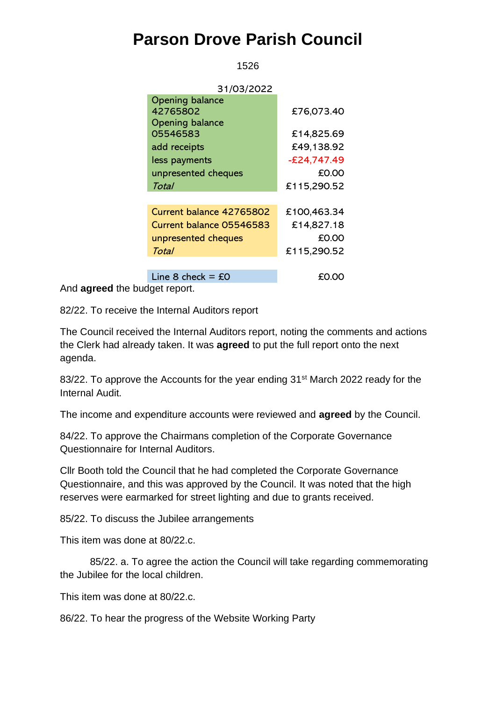1526

| 31/03/2022                       |               |
|----------------------------------|---------------|
| <b>Opening balance</b>           |               |
| 42765802                         | £76,073.40    |
| <b>Opening balance</b>           |               |
| 05546583                         | £14,825.69    |
| add receipts                     | £49,138.92    |
| less payments                    | $-£24,747.49$ |
| unpresented cheques              | £0.00         |
| Total                            | £115,290.52   |
|                                  |               |
| Current balance 42765802         | £100,463.34   |
| Current balance 05546583         | £14,827.18    |
| unpresented cheques              | £0.00         |
| Total                            | £115,290.52   |
|                                  |               |
| Line 8 check = $\text{\pounds}0$ | £0.00         |

And **agreed** the budget report.

82/22. To receive the Internal Auditors report

The Council received the Internal Auditors report, noting the comments and actions the Clerk had already taken. It was **agreed** to put the full report onto the next agenda.

83/22. To approve the Accounts for the year ending 31<sup>st</sup> March 2022 ready for the Internal Audit.

The income and expenditure accounts were reviewed and **agreed** by the Council.

84/22. To approve the Chairmans completion of the Corporate Governance Questionnaire for Internal Auditors.

Cllr Booth told the Council that he had completed the Corporate Governance Questionnaire, and this was approved by the Council. It was noted that the high reserves were earmarked for street lighting and due to grants received.

85/22. To discuss the Jubilee arrangements

This item was done at 80/22.c.

85/22. a. To agree the action the Council will take regarding commemorating the Jubilee for the local children.

This item was done at 80/22.c.

86/22. To hear the progress of the Website Working Party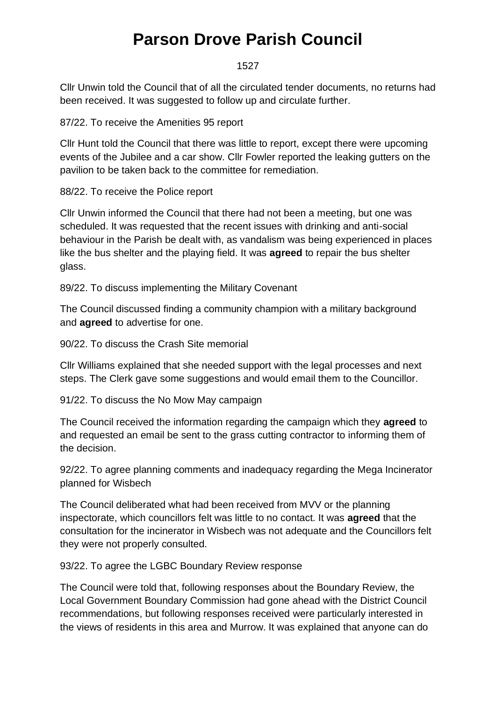#### 1527

Cllr Unwin told the Council that of all the circulated tender documents, no returns had been received. It was suggested to follow up and circulate further.

87/22. To receive the Amenities 95 report

Cllr Hunt told the Council that there was little to report, except there were upcoming events of the Jubilee and a car show. Cllr Fowler reported the leaking gutters on the pavilion to be taken back to the committee for remediation.

88/22. To receive the Police report

Cllr Unwin informed the Council that there had not been a meeting, but one was scheduled. It was requested that the recent issues with drinking and anti-social behaviour in the Parish be dealt with, as vandalism was being experienced in places like the bus shelter and the playing field. It was **agreed** to repair the bus shelter glass.

89/22. To discuss implementing the Military Covenant

The Council discussed finding a community champion with a military background and **agreed** to advertise for one.

90/22. To discuss the Crash Site memorial

Cllr Williams explained that she needed support with the legal processes and next steps. The Clerk gave some suggestions and would email them to the Councillor.

91/22. To discuss the No Mow May campaign

The Council received the information regarding the campaign which they **agreed** to and requested an email be sent to the grass cutting contractor to informing them of the decision.

92/22. To agree planning comments and inadequacy regarding the Mega Incinerator planned for Wisbech

The Council deliberated what had been received from MVV or the planning inspectorate, which councillors felt was little to no contact. It was **agreed** that the consultation for the incinerator in Wisbech was not adequate and the Councillors felt they were not properly consulted.

93/22. To agree the LGBC Boundary Review response

The Council were told that, following responses about the Boundary Review, the Local Government Boundary Commission had gone ahead with the District Council recommendations, but following responses received were particularly interested in the views of residents in this area and Murrow. It was explained that anyone can do